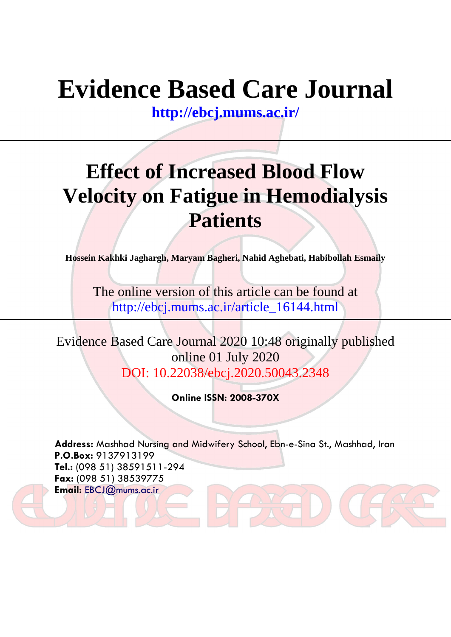# **Evidence Based Care Journal**

**<http://ebcj.mums.ac.ir/>**

## **Effect of Increased Blood Flow Velocity on Fatigue in Hemodialysis Patients**

**Hossein Kakhki Jaghargh, Maryam Bagheri, Nahid Aghebati, Habibollah Esmaily**

The online version of this article can be found at http://ebcj.mums.ac.ir/article\_16144.html

Evidence Based Care Journal 2020 10:48 originally published online 01 July 2020 DOI: 10.22038/ebcj.2020.50043.2348

**Online ISSN: 2008-370X**

**Address:** Mashhad Nursing and Midwifery School, Ebn-e-Sina St., Mashhad, Iran **P.O.Box:** 9137913199 **Tel.:** (098 51) 38591511-294 **Fax:** (098 51) 38539775 **Email:** [EBCJ@mums.ac.ir](mailto:EBCJ@mums.ac.ir)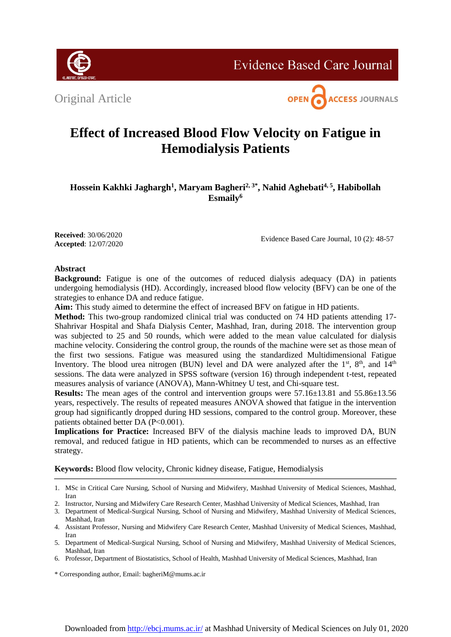Original Article





### **Effect of Increased Blood Flow Velocity on Fatigue in Hemodialysis Patients**

**Hossein Kakhki Jaghargh<sup>1</sup> , Maryam Bagheri2, 3\*, Nahid Aghebati4, 5, Habibollah Esmaily<sup>6</sup>**

**Received**: 30/06/2020 **Accepted**: 12/07/2020

Evidence Based Care Journal, 10 (2): 48-57

#### **Abstract**

**Background:** Fatigue is one of the outcomes of reduced dialysis adequacy (DA) in patients undergoing hemodialysis (HD). Accordingly, increased blood flow velocity (BFV) can be one of the strategies to enhance DA and reduce fatigue.

**Aim:** This study aimed to determine the effect of increased BFV on fatigue in HD patients.

**Method:** This two-group randomized clinical trial was conducted on 74 HD patients attending 17- Shahrivar Hospital and Shafa Dialysis Center, Mashhad, Iran, during 2018. The intervention group was subjected to 25 and 50 rounds, which were added to the mean value calculated for dialysis machine velocity. Considering the control group, the rounds of the machine were set as those mean of the first two sessions. Fatigue was measured using the standardized Multidimensional Fatigue Inventory. The blood urea nitrogen (BUN) level and DA were analyzed after the  $1<sup>st</sup>$ ,  $8<sup>th</sup>$ , and  $14<sup>th</sup>$ sessions. The data were analyzed in SPSS software (version 16) through independent t-test, repeated measures analysis of variance (ANOVA), Mann-Whitney U test, and Chi-square test.

**Results:** The mean ages of the control and intervention groups were 57.16±13.81 and 55.86±13.56 years, respectively. The results of repeated measures ANOVA showed that fatigue in the intervention group had significantly dropped during HD sessions, compared to the control group. Moreover, these patients obtained better DA (P˂0.001).

**Implications for Practice:** Increased BFV of the dialysis machine leads to improved DA, BUN removal, and reduced fatigue in HD patients, which can be recommended to nurses as an effective strategy.

**Keywords:** Blood flow velocity, Chronic kidney disease, Fatigue, Hemodialysis

<sup>1.</sup> MSc in Critical Care Nursing, School of Nursing and Midwifery, Mashhad University of Medical Sciences, Mashhad, Iran

<sup>2.</sup> Instructor, Nursing and Midwifery Care Research Center, Mashhad University of Medical Sciences, Mashhad, Iran

<sup>3.</sup> Department of Medical-Surgical Nursing, School of Nursing and Midwifery, Mashhad University of Medical Sciences, Mashhad, Iran

<sup>4.</sup> Assistant Professor, Nursing and Midwifery Care Research Center, Mashhad University of Medical Sciences, Mashhad, Iran

<sup>5.</sup> Department of Medical-Surgical Nursing, School of Nursing and Midwifery, Mashhad University of Medical Sciences, Mashhad, Iran

<sup>6.</sup> Professor, Department of Biostatistics, School of Health, Mashhad University of Medical Sciences, Mashhad, Iran

<sup>\*</sup> Corresponding author, Email: [bagheriM@mums.ac.ir](mailto:bagheriM@mums.ac.ir)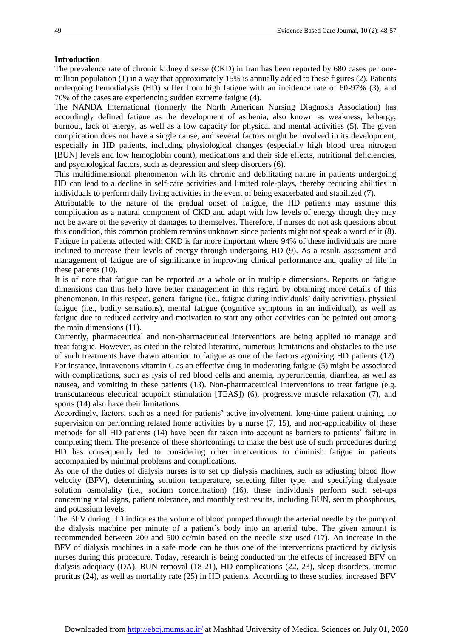#### **Introduction**

The prevalence rate of chronic kidney disease (CKD) in Iran has been reported by 680 cases per onemillion population (1) in a way that approximately 15% is annually added to these figures (2). Patients undergoing hemodialysis (HD) suffer from high fatigue with an incidence rate of 60-97% (3), and 70% of the cases are experiencing sudden extreme fatigue (4).

The NANDA International (formerly the North American Nursing Diagnosis Association) has accordingly defined fatigue as the development of asthenia, also known as weakness, lethargy, burnout, lack of energy, as well as a low capacity for physical and mental activities (5). The given complication does not have a single cause, and several factors might be involved in its development, especially in HD patients, including physiological changes (especially high blood urea nitrogen [BUN] levels and low hemoglobin count), medications and their side effects, nutritional deficiencies, and psychological factors, such as depression and sleep disorders (6).

This multidimensional phenomenon with its chronic and debilitating nature in patients undergoing HD can lead to a decline in self-care activities and limited role-plays, thereby reducing abilities in individuals to perform daily living activities in the event of being exacerbated and stabilized (7).

Attributable to the nature of the gradual onset of fatigue, the HD patients may assume this complication as a natural component of CKD and adapt with low levels of energy though they may not be aware of the severity of damages to themselves. Therefore, if nurses do not ask questions about this condition, this common problem remains unknown since patients might not speak a word of it (8). Fatigue in patients affected with CKD is far more important where 94% of these individuals are more inclined to increase their levels of energy through undergoing HD (9). As a result, assessment and management of fatigue are of significance in improving clinical performance and quality of life in these patients (10).

It is of note that fatigue can be reported as a whole or in multiple dimensions. Reports on fatigue dimensions can thus help have better management in this regard by obtaining more details of this phenomenon. In this respect, general fatigue (i.e., fatigue during individuals' daily activities), physical fatigue (i.e., bodily sensations), mental fatigue (cognitive symptoms in an individual), as well as fatigue due to reduced activity and motivation to start any other activities can be pointed out among the main dimensions (11).

Currently, pharmaceutical and non-pharmaceutical interventions are being applied to manage and treat fatigue. However, as cited in the related literature, numerous limitations and obstacles to the use of such treatments have drawn attention to fatigue as one of the factors agonizing HD patients (12). For instance, intravenous vitamin C as an effective drug in moderating fatigue (5) might be associated with complications, such as lysis of red blood cells and anemia, hyperuricemia, diarrhea, as well as nausea, and vomiting in these patients (13). Non-pharmaceutical interventions to treat fatigue (e.g. transcutaneous electrical acupoint stimulation [TEAS]) (6), progressive muscle relaxation (7), and sports (14) also have their limitations.

Accordingly, factors, such as a need for patients' active involvement, long-time patient training, no supervision on performing related home activities by a nurse  $(7, 15)$ , and non-applicability of these methods for all HD patients (14) have been far taken into account as barriers to patients' failure in completing them. The presence of these shortcomings to make the best use of such procedures during HD has consequently led to considering other interventions to diminish fatigue in patients accompanied by minimal problems and complications.

As one of the duties of dialysis nurses is to set up dialysis machines, such as adjusting blood flow velocity (BFV), determining solution temperature, selecting filter type, and specifying dialysate solution osmolality (i.e., sodium concentration) (16), these individuals perform such set-ups concerning vital signs, patient tolerance, and monthly test results, including BUN, serum phosphorus, and potassium levels.

The BFV during HD indicates the volume of blood pumped through the arterial needle by the pump of the dialysis machine per minute of a patient's body into an arterial tube. The given amount is recommended between 200 and 500 cc/min based on the needle size used (17). An increase in the BFV of dialysis machines in a safe mode can be thus one of the interventions practiced by dialysis nurses during this procedure. Today, research is being conducted on the effects of increased BFV on dialysis adequacy (DA), BUN removal (18-21), HD complications (22, 23), sleep disorders, uremic pruritus (24), as well as mortality rate (25) in HD patients. According to these studies, increased BFV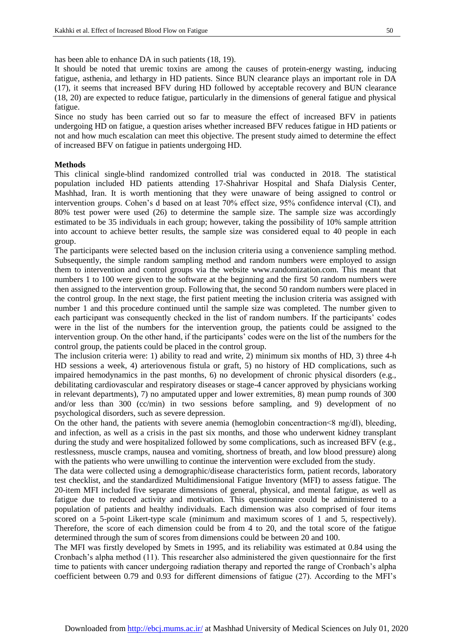It should be noted that uremic toxins are among the causes of protein-energy wasting, inducing fatigue, asthenia, and lethargy in HD patients. Since BUN clearance plays an important role in DA (17), it seems that increased BFV during HD followed by acceptable recovery and BUN clearance (18, 20) are expected to reduce fatigue, particularly in the dimensions of general fatigue and physical fatigue.

Since no study has been carried out so far to measure the effect of increased BFV in patients undergoing HD on fatigue, a question arises whether increased BFV reduces fatigue in HD patients or not and how much escalation can meet this objective. The present study aimed to determine the effect of increased BFV on fatigue in patients undergoing HD.

#### **Methods**

This clinical single-blind randomized controlled trial was conducted in 2018. The statistical population included HD patients attending 17-Shahrivar Hospital and Shafa Dialysis Center, Mashhad, Iran. It is worth mentioning that they were unaware of being assigned to control or intervention groups. Cohen's d based on at least 70% effect size, 95% confidence interval (CI), and 80% test power were used (26) to determine the sample size. The sample size was accordingly estimated to be 35 individuals in each group; however, taking the possibility of 10% sample attrition into account to achieve better results, the sample size was considered equal to 40 people in each group.

The participants were selected based on the inclusion criteria using a convenience sampling method. Subsequently, the simple random sampling method and random numbers were employed to assign them to intervention and control groups via the website www.randomization.com. This meant that numbers 1 to 100 were given to the software at the beginning and the first 50 random numbers were then assigned to the intervention group. Following that, the second 50 random numbers were placed in the control group. In the next stage, the first patient meeting the inclusion criteria was assigned with number 1 and this procedure continued until the sample size was completed. The number given to each participant was consequently checked in the list of random numbers. If the participants' codes were in the list of the numbers for the intervention group, the patients could be assigned to the intervention group. On the other hand, if the participants' codes were on the list of the numbers for the control group, the patients could be placed in the control group.

The inclusion criteria were: 1) ability to read and write, 2) minimum six months of HD, 3) three 4-h HD sessions a week, 4) arteriovenous fistula or graft, 5) no history of HD complications, such as impaired hemodynamics in the past months, 6) no development of chronic physical disorders (e.g., debilitating cardiovascular and respiratory diseases or stage-4 cancer approved by physicians working in relevant departments), 7) no amputated upper and lower extremities, 8) mean pump rounds of 300 and/or less than 300 (cc/min) in two sessions before sampling, and 9) development of no psychological disorders, such as severe depression.

On the other hand, the patients with severe anemia (hemoglobin concentraction˂8 mg/dl), bleeding, and infection, as well as a crisis in the past six months, and those who underwent kidney transplant during the study and were hospitalized followed by some complications, such as increased BFV (e.g., restlessness, muscle cramps, nausea and vomiting, shortness of breath, and low blood pressure) along with the patients who were unwilling to continue the intervention were excluded from the study.

The data were collected using a demographic/disease characteristics form, patient records, laboratory test checklist, and the standardized Multidimensional Fatigue Inventory (MFI) to assess fatigue. The 20-item MFI included five separate dimensions of general, physical, and mental fatigue, as well as fatigue due to reduced activity and motivation. This questionnaire could be administered to a population of patients and healthy individuals. Each dimension was also comprised of four items scored on a 5-point Likert-type scale (minimum and maximum scores of 1 and 5, respectively). Therefore, the score of each dimension could be from 4 to 20, and the total score of the fatigue determined through the sum of scores from dimensions could be between 20 and 100.

The MFI was firstly developed by Smets in 1995, and its reliability was estimated at 0.84 using the Cronbach's alpha method (11). This researcher also administered the given questionnaire for the first time to patients with cancer undergoing radiation therapy and reported the range of Cronbach's alpha coefficient between 0.79 and 0.93 for different dimensions of fatigue (27). According to the MFI's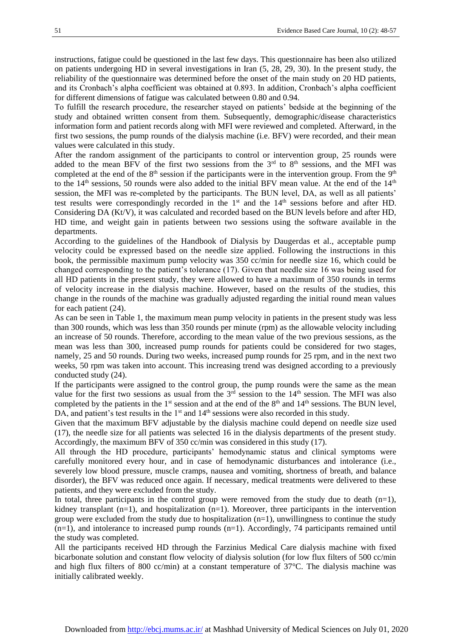instructions, fatigue could be questioned in the last few days. This questionnaire has been also utilized on patients undergoing HD in several investigations in Iran (5, 28, 29, 30). In the present study, the reliability of the questionnaire was determined before the onset of the main study on 20 HD patients, and its Cronbach's alpha coefficient was obtained at 0.893. In addition, Cronbach's alpha coefficient for different dimensions of fatigue was calculated between 0.80 and 0.94.

To fulfill the research procedure, the researcher stayed on patients' bedside at the beginning of the study and obtained written consent from them. Subsequently, demographic/disease characteristics information form and patient records along with MFI were reviewed and completed. Afterward, in the first two sessions, the pump rounds of the dialysis machine (i.e. BFV) were recorded, and their mean values were calculated in this study.

After the random assignment of the participants to control or intervention group, 25 rounds were added to the mean BFV of the first two sessions from the  $3<sup>rd</sup>$  to  $8<sup>th</sup>$  sessions, and the MFI was completed at the end of the  $8<sup>th</sup>$  session if the participants were in the intervention group. From the  $9<sup>th</sup>$ to the 14<sup>th</sup> sessions, 50 rounds were also added to the initial BFV mean value. At the end of the 14<sup>th</sup> session, the MFI was re-completed by the participants. The BUN level, DA, as well as all patients' test results were correspondingly recorded in the  $1<sup>st</sup>$  and the  $14<sup>th</sup>$  sessions before and after HD. Considering DA (Kt/V), it was calculated and recorded based on the BUN levels before and after HD, HD time, and weight gain in patients between two sessions using the software available in the departments.

According to the guidelines of the Handbook of Dialysis by Daugerdas et al., acceptable pump velocity could be expressed based on the needle size applied. Following the instructions in this book, the permissible maximum pump velocity was 350 cc/min for needle size 16, which could be changed corresponding to the patient's tolerance (17). Given that needle size 16 was being used for all HD patients in the present study, they were allowed to have a maximum of 350 rounds in terms of velocity increase in the dialysis machine. However, based on the results of the studies, this change in the rounds of the machine was gradually adjusted regarding the initial round mean values for each patient (24).

As can be seen in Table 1, the maximum mean pump velocity in patients in the present study was less than 300 rounds, which was less than 350 rounds per minute (rpm) as the allowable velocity including an increase of 50 rounds. Therefore, according to the mean value of the two previous sessions, as the mean was less than 300, increased pump rounds for patients could be considered for two stages, namely, 25 and 50 rounds. During two weeks, increased pump rounds for 25 rpm, and in the next two weeks, 50 rpm was taken into account. This increasing trend was designed according to a previously conducted study (24).

If the participants were assigned to the control group, the pump rounds were the same as the mean value for the first two sessions as usual from the  $3<sup>rd</sup>$  session to the  $14<sup>th</sup>$  session. The MFI was also completed by the patients in the  $1<sup>st</sup>$  session and at the end of the  $8<sup>th</sup>$  and  $14<sup>th</sup>$  sessions. The BUN level, DA, and patient's test results in the 1<sup>st</sup> and 14<sup>th</sup> sessions were also recorded in this study.

Given that the maximum BFV adjustable by the dialysis machine could depend on needle size used (17), the needle size for all patients was selected 16 in the dialysis departments of the present study. Accordingly, the maximum BFV of 350 cc/min was considered in this study (17).

All through the HD procedure, participants' hemodynamic status and clinical symptoms were carefully monitored every hour, and in case of hemodynamic disturbances and intolerance (i.e., severely low blood pressure, muscle cramps, nausea and vomiting, shortness of breath, and balance disorder), the BFV was reduced once again. If necessary, medical treatments were delivered to these patients, and they were excluded from the study.

In total, three participants in the control group were removed from the study due to death  $(n=1)$ , kidney transplant  $(n=1)$ , and hospitalization  $(n=1)$ . Moreover, three participants in the intervention group were excluded from the study due to hospitalization  $(n=1)$ , unwillingness to continue the study  $(n=1)$ , and intolerance to increased pump rounds  $(n=1)$ . Accordingly, 74 participants remained until the study was completed.

All the participants received HD through the Farzinius Medical Care dialysis machine with fixed bicarbonate solution and constant flow velocity of dialysis solution (for low flux filters of 500 cc/min and high flux filters of 800 cc/min) at a constant temperature of 37°C. The dialysis machine was initially calibrated weekly.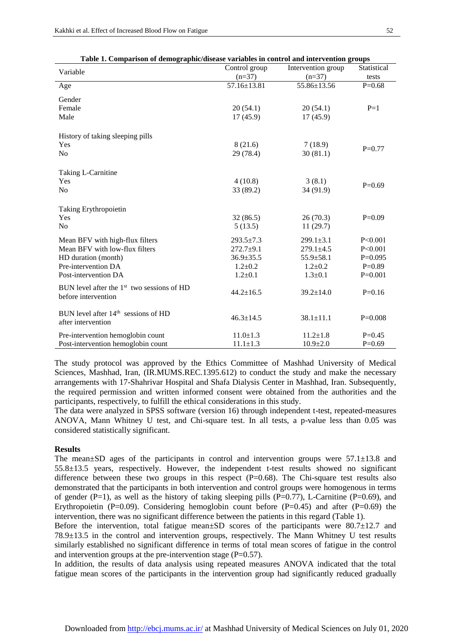| Table 1. Comparison of demographic/disease variables in control and intervention groups |  |
|-----------------------------------------------------------------------------------------|--|
|                                                                                         |  |

|                                                                         | Control group                    | Intervention group               | Statistical          |
|-------------------------------------------------------------------------|----------------------------------|----------------------------------|----------------------|
| Variable                                                                | $(n=37)$                         | $(n=37)$                         | tests                |
| Age                                                                     | 57.16±13.81                      | 55.86±13.56                      | $P=0.68$             |
| Gender                                                                  |                                  |                                  |                      |
| Female                                                                  | 20(54.1)                         | 20(54.1)                         | $P=1$                |
| Male                                                                    | 17(45.9)                         | 17(45.9)                         |                      |
|                                                                         |                                  |                                  |                      |
| History of taking sleeping pills                                        |                                  |                                  |                      |
| Yes                                                                     | 8(21.6)                          | 7(18.9)                          |                      |
| N <sub>o</sub>                                                          | 29 (78.4)                        | 30(81.1)                         | $P=0.77$             |
|                                                                         |                                  |                                  |                      |
| Taking L-Carnitine                                                      |                                  |                                  |                      |
| Yes                                                                     | 4(10.8)                          | 3(8.1)                           | $P=0.69$             |
| N <sub>0</sub>                                                          | 33 (89.2)                        | 34 (91.9)                        |                      |
|                                                                         |                                  |                                  |                      |
| Taking Erythropoietin                                                   |                                  |                                  |                      |
| Yes                                                                     | 32(86.5)                         | 26(70.3)                         | $P=0.09$             |
| No                                                                      | 5(13.5)                          | 11(29.7)                         |                      |
| Mean BFV with high-flux filters                                         | $293.5 \pm 7.3$                  | $299.1 \pm 3.1$                  | P < 0.001            |
| Mean BFV with low-flux filters                                          | $272.7+9.1$                      | $279.1 \pm 4.5$                  | P < 0.001            |
| HD duration (month)                                                     | $36.9 \pm 35.5$                  | $55.9 \pm 58.1$                  | $P=0.095$            |
| Pre-intervention DA                                                     | $1.2 \pm 0.2$                    | $1.2 \pm 0.2$                    | $P=0.89$             |
| Post-intervention DA                                                    | $1.2 \pm 0.1$                    | $1.3 \pm 0.1$                    | $P=0.001$            |
| BUN level after the $1st$ two sessions of HD                            |                                  |                                  |                      |
| before intervention                                                     | $44.2 \pm 16.5$                  | $39.2 \pm 14.0$                  | $P=0.16$             |
|                                                                         |                                  |                                  |                      |
| BUN level after 14 <sup>th</sup> sessions of HD                         |                                  |                                  |                      |
| after intervention                                                      | $46.3 \pm 14.5$                  | $38.1 \pm 11.1$                  | $P=0.008$            |
|                                                                         |                                  |                                  |                      |
| Pre-intervention hemoglobin count<br>Post-intervention hemoglobin count | $11.0 \pm 1.3$<br>$11.1 \pm 1.3$ | $11.2 \pm 1.8$<br>$10.9{\pm}2.0$ | $P=0.45$<br>$P=0.69$ |
|                                                                         |                                  |                                  |                      |

The study protocol was approved by the Ethics Committee of Mashhad University of Medical Sciences, Mashhad, Iran, (IR.MUMS.REC.1395.612) to conduct the study and make the necessary arrangements with 17-Shahrivar Hospital and Shafa Dialysis Center in Mashhad, Iran. Subsequently, the required permission and written informed consent were obtained from the authorities and the participants, respectively, to fulfill the ethical considerations in this study.

The data were analyzed in SPSS software (version 16) through independent t-test, repeated-measures ANOVA, Mann Whitney U test, and Chi-square test. In all tests, a p-value less than 0.05 was considered statistically significant.

#### **Results**

The mean±SD ages of the participants in control and intervention groups were 57.1±13.8 and 55.8±13.5 years, respectively. However, the independent t-test results showed no significant difference between these two groups in this respect  $(P=0.68)$ . The Chi-square test results also demonstrated that the participants in both intervention and control groups were homogenous in terms of gender (P=1), as well as the history of taking sleeping pills (P=0.77), L-Carnitine (P=0.69), and Erythropoietin (P=0.09). Considering hemoglobin count before (P=0.45) and after (P=0.69) the intervention, there was no significant difference between the patients in this regard (Table 1).

Before the intervention, total fatigue mean±SD scores of the participants were 80.7±12.7 and 78.9±13.5 in the control and intervention groups, respectively. The Mann Whitney U test results similarly established no significant difference in terms of total mean scores of fatigue in the control and intervention groups at the pre-intervention stage  $(P=0.57)$ .

In addition, the results of data analysis using repeated measures ANOVA indicated that the total fatigue mean scores of the participants in the intervention group had significantly reduced gradually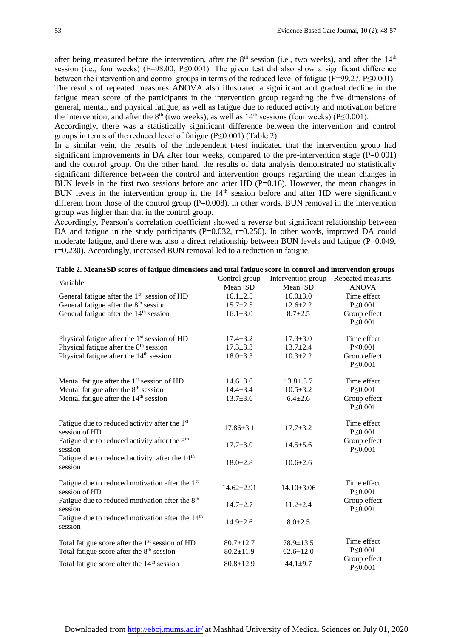after being measured before the intervention, after the  $8<sup>th</sup>$  session (i.e., two weeks), and after the  $14<sup>th</sup>$ session (i.e., four weeks) (F=98.00, P≤0.001). The given test did also show a significant difference between the intervention and control groups in terms of the reduced level of fatigue (F=99.27, P≤0.001). The results of repeated measures ANOVA also illustrated a significant and gradual decline in the fatigue mean score of the participants in the intervention group regarding the five dimensions of general, mental, and physical fatigue, as well as fatigue due to reduced activity and motivation before the intervention, and after the  $8<sup>th</sup>$  (two weeks), as well as  $14<sup>th</sup>$  sessions (four weeks) (P≤0.001).

Accordingly, there was a statistically significant difference between the intervention and control groups in terms of the reduced level of fatigue (P≤0.001) (Table 2).

In a similar vein, the results of the independent t-test indicated that the intervention group had significant improvements in DA after four weeks, compared to the pre-intervention stage  $(P=0.001)$ and the control group. On the other hand, the results of data analysis demonstrated no statistically significant difference between the control and intervention groups regarding the mean changes in BUN levels in the first two sessions before and after HD (P=0.16). However, the mean changes in BUN levels in the intervention group in the  $14<sup>th</sup>$  session before and after HD were significantly different from those of the control group  $(P=0.008)$ . In other words, BUN removal in the intervention group was higher than that in the control group.

Accordingly, Pearson's correlation coefficient showed a reverse but significant relationship between DA and fatigue in the study participants (P=0.032, r=0.250). In other words, improved DA could moderate fatigue, and there was also a direct relationship between BUN levels and fatigue (P=0.049, r=0.230). Accordingly, increased BUN removal led to a reduction in fatigue.

| Variable                                                                | Control group    | Intervention group | Repeated measures |
|-------------------------------------------------------------------------|------------------|--------------------|-------------------|
|                                                                         | Mean±SD          | Mean±SD            | <b>ANOVA</b>      |
| General fatigue after the 1 <sup>st</sup> session of HD                 | $16.1 \pm 2.5$   | $16.0 \pm 3.0$     | Time effect       |
| General fatigue after the 8 <sup>th</sup> session                       | $15.7 \pm 2.5$   | $12.6 \pm 2.2$     | $P \le 0.001$     |
| General fatigue after the 14 <sup>th</sup> session                      | $16.1 \pm 3.0$   | $8.7 \pm 2.5$      | Group effect      |
|                                                                         |                  |                    | $P \le 0.001$     |
| Physical fatigue after the $1st$ session of HD                          | $17.4 \pm 3.2$   | $17.3 \pm 3.0$     | Time effect       |
| Physical fatigue after the $8th$ session                                | $17.3 \pm 3.3$   | $13.7 \pm 2.4$     | $P \le 0.001$     |
| Physical fatigue after the 14 <sup>th</sup> session                     | $18.0 \pm 3.3$   | $10.3 \pm 2.2$     | Group effect      |
|                                                                         |                  |                    | $P \le 0.001$     |
| Mental fatigue after the 1 <sup>st</sup> session of HD                  | $14.6 \pm 3.6$   | $13.8 \pm .3.7$    | Time effect       |
| Mental fatigue after the 8 <sup>th</sup> session                        | $14.4 \pm 3.4$   | $10.5 \pm 3.2$     | $P \le 0.001$     |
| Mental fatigue after the $14th$ session                                 | $13.7 \pm 3.6$   | $6.4 \pm 2.6$      | Group effect      |
|                                                                         |                  |                    | $P \le 0.001$     |
| Fatigue due to reduced activity after the 1 <sup>st</sup>               |                  |                    | Time effect       |
| session of HD                                                           | $17.86 \pm 3.1$  | $17.7 \pm 3.2$     | $P \le 0.001$     |
| Fatigue due to reduced activity after the $8th$                         | $17.7 \pm 3.0$   | $14.5 \pm 5.6$     | Group effect      |
| session                                                                 |                  |                    | $P \le 0.001$     |
| Fatigue due to reduced activity after the 14 <sup>th</sup>              | $18.0 \pm 2.8$   | $10.6 \pm 2.6$     |                   |
| session                                                                 |                  |                    |                   |
| Fatigue due to reduced motivation after the 1 <sup>st</sup>             | $14.62 \pm 2.91$ | $14.10 \pm 3.06$   | Time effect       |
| session of HD                                                           |                  |                    | $P \le 0.001$     |
| Fatigue due to reduced motivation after the $8th$                       | $14.7 + 2.7$     | $11.2 \pm 2.4$     | Group effect      |
| session                                                                 |                  |                    | $P \le 0.001$     |
| Fatigue due to reduced motivation after the 14 <sup>th</sup><br>session | $14.9 \pm 2.6$   | $8.0 \pm 2.5$      |                   |
|                                                                         |                  |                    |                   |
| Total fatigue score after the 1 <sup>st</sup> session of HD             | $80.7 \pm 12.7$  | $78.9 \pm 13.5$    | Time effect       |
| Total fatigue score after the 8 <sup>th</sup> session                   | $80.2 \pm 11.9$  | $62.6 \pm 12.0$    | $P \le 0.001$     |
| Total fatigue score after the 14 <sup>th</sup> session                  | $80.8 \pm 12.9$  | $44.1 \pm 9.7$     | Group effect      |
|                                                                         |                  |                    | $P \le 0.001$     |

**Table 2. Mean±SD scores of fatigue dimensions and total fatigue score in control and intervention groups**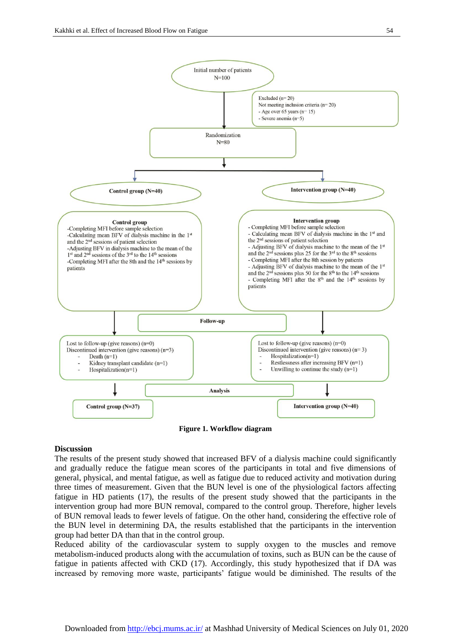

**Figure 1. Workflow diagram**

#### **Discussion**

The results of the present study showed that increased BFV of a dialysis machine could significantly and gradually reduce the fatigue mean scores of the participants in total and five dimensions of general, physical, and mental fatigue, as well as fatigue due to reduced activity and motivation during three times of measurement. Given that the BUN level is one of the physiological factors affecting fatigue in HD patients (17), the results of the present study showed that the participants in the intervention group had more BUN removal, compared to the control group. Therefore, higher levels of BUN removal leads to fewer levels of fatigue. On the other hand, considering the effective role of the BUN level in determining DA, the results established that the participants in the intervention group had better DA than that in the control group.

Reduced ability of the cardiovascular system to supply oxygen to the muscles and remove metabolism-induced products along with the accumulation of toxins, such as BUN can be the cause of fatigue in patients affected with CKD (17). Accordingly, this study hypothesized that if DA was increased by removing more waste, participants' fatigue would be diminished. The results of the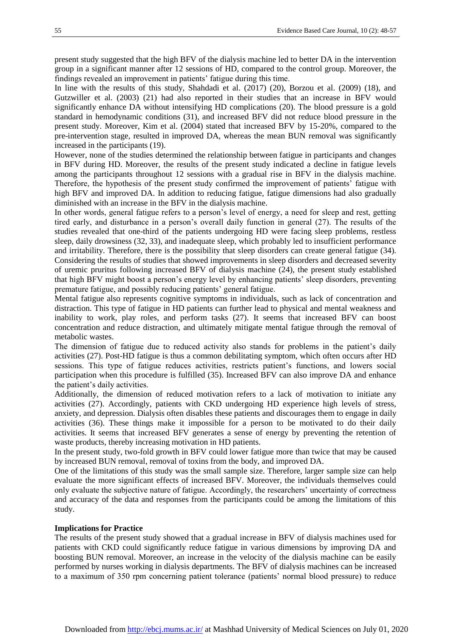present study suggested that the high BFV of the dialysis machine led to better DA in the intervention group in a significant manner after 12 sessions of HD, compared to the control group. Moreover, the findings revealed an improvement in patients' fatigue during this time.

In line with the results of this study, Shahdadi et al. (2017) (20), Borzou et al. (2009) (18), and Gutzwiller et al. (2003) (21) had also reported in their studies that an increase in BFV would significantly enhance DA without intensifying HD complications (20). The blood pressure is a gold standard in hemodynamic conditions (31), and increased BFV did not reduce blood pressure in the present study. Moreover, Kim et al. (2004) stated that increased BFV by 15-20%, compared to the pre-intervention stage, resulted in improved DA, whereas the mean BUN removal was significantly increased in the participants (19).

However, none of the studies determined the relationship between fatigue in participants and changes in BFV during HD. Moreover, the results of the present study indicated a decline in fatigue levels among the participants throughout 12 sessions with a gradual rise in BFV in the dialysis machine. Therefore, the hypothesis of the present study confirmed the improvement of patients' fatigue with high BFV and improved DA. In addition to reducing fatigue, fatigue dimensions had also gradually diminished with an increase in the BFV in the dialysis machine.

In other words, general fatigue refers to a person's level of energy, a need for sleep and rest, getting tired early, and disturbance in a person's overall daily function in general (27). The results of the studies revealed that one-third of the patients undergoing HD were facing sleep problems, restless sleep, daily drowsiness (32, 33), and inadequate sleep, which probably led to insufficient performance and irritability. Therefore, there is the possibility that sleep disorders can create general fatigue (34). Considering the results of studies that showed improvements in sleep disorders and decreased severity of uremic pruritus following increased BFV of dialysis machine (24), the present study established that high BFV might boost a person's energy level by enhancing patients' sleep disorders, preventing premature fatigue, and possibly reducing patients' general fatigue.

Mental fatigue also represents cognitive symptoms in individuals, such as lack of concentration and distraction. This type of fatigue in HD patients can further lead to physical and mental weakness and inability to work, play roles, and perform tasks (27). It seems that increased BFV can boost concentration and reduce distraction, and ultimately mitigate mental fatigue through the removal of metabolic wastes.

The dimension of fatigue due to reduced activity also stands for problems in the patient's daily activities (27). Post-HD fatigue is thus a common debilitating symptom, which often occurs after HD sessions. This type of fatigue reduces activities, restricts patient's functions, and lowers social participation when this procedure is fulfilled (35). Increased BFV can also improve DA and enhance the patient's daily activities.

Additionally, the dimension of reduced motivation refers to a lack of motivation to initiate any activities (27). Accordingly, patients with CKD undergoing HD experience high levels of stress, anxiety, and depression. Dialysis often disables these patients and discourages them to engage in daily activities (36). These things make it impossible for a person to be motivated to do their daily activities. It seems that increased BFV generates a sense of energy by preventing the retention of waste products, thereby increasing motivation in HD patients.

In the present study, two-fold growth in BFV could lower fatigue more than twice that may be caused by increased BUN removal, removal of toxins from the body, and improved DA.

One of the limitations of this study was the small sample size. Therefore, larger sample size can help evaluate the more significant effects of increased BFV. Moreover, the individuals themselves could only evaluate the subjective nature of fatigue. Accordingly, the researchers' uncertainty of correctness and accuracy of the data and responses from the participants could be among the limitations of this study.

#### **Implications for Practice**

The results of the present study showed that a gradual increase in BFV of dialysis machines used for patients with CKD could significantly reduce fatigue in various dimensions by improving DA and boosting BUN removal. Moreover, an increase in the velocity of the dialysis machine can be easily performed by nurses working in dialysis departments. The BFV of dialysis machines can be increased to a maximum of 350 rpm concerning patient tolerance (patients' normal blood pressure) to reduce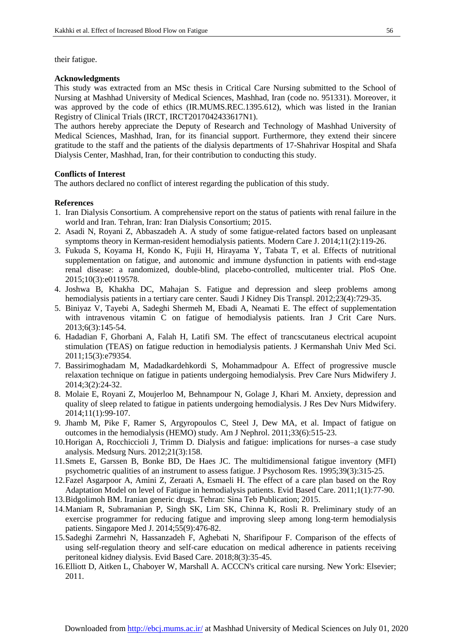their fatigue.

#### **Acknowledgments**

This study was extracted from an MSc thesis in Critical Care Nursing submitted to the School of Nursing at Mashhad University of Medical Sciences, Mashhad, Iran (code no. 951331). Moreover, it was approved by the code of ethics (IR.MUMS.REC.1395.612), which was listed in the Iranian Registry of Clinical Trials (IRCT, IRCT2017042433617N1).

The authors hereby appreciate the Deputy of Research and Technology of Mashhad University of Medical Sciences, Mashhad, Iran, for its financial support. Furthermore, they extend their sincere gratitude to the staff and the patients of the dialysis departments of 17-Shahrivar Hospital and Shafa Dialysis Center, Mashhad, Iran, for their contribution to conducting this study.

#### **Conflicts of Interest**

The authors declared no conflict of interest regarding the publication of this study.

#### **References**

- 1. Iran Dialysis Consortium. A comprehensive report on the status of patients with renal failure in the world and Iran. Tehran, Iran: Iran Dialysis Consortium; 2015.
- 2. Asadi N, Royani Z, Abbaszadeh A. A study of some fatigue-related factors based on unpleasant symptoms theory in Kerman-resident hemodialysis patients. Modern Care J. 2014;11(2):119-26.
- 3. Fukuda S, Koyama H, Kondo K, Fujii H, Hirayama Y, Tabata T, et al. Effects of nutritional supplementation on fatigue, and autonomic and immune dysfunction in patients with end-stage renal disease: a randomized, double-blind, placebo-controlled, multicenter trial. PloS One. 2015;10(3):e0119578.
- 4. Joshwa B, Khakha DC, Mahajan S. Fatigue and depression and sleep problems among hemodialysis patients in a tertiary care center. Saudi J Kidney Dis Transpl. 2012;23(4):729-35.
- 5. Biniyaz V, Tayebi A, Sadeghi Shermeh M, Ebadi A, Neamati E. The effect of supplementation with intravenous vitamin C on fatigue of hemodialysis patients. Iran J Crit Care Nurs. 2013;6(3):145-54.
- 6. Hadadian F, Ghorbani A, Falah H, Latifi SM. The effect of trancscutaneus electrical acupoint stimulation (TEAS) on fatigue reduction in hemodialysis patients. J Kermanshah Univ Med Sci. 2011;15(3):e79354.
- 7. Bassirimoghadam M, Madadkardehkordi S, Mohammadpour A. Effect of progressive muscle relaxation technique on fatigue in patients undergoing hemodialysis. Prev Care Nurs Midwifery J. 2014;3(2):24-32.
- 8. Molaie E, Royani Z, Moujerloo M, Behnampour N, Golage J, Khari M. Anxiety, depression and quality of sleep related to fatigue in patients undergoing hemodialysis. J Res Dev Nurs Midwifery. 2014;11(1):99-107.
- 9. Jhamb M, Pike F, Ramer S, Argyropoulos C, Steel J, Dew MA, et al. Impact of fatigue on outcomes in the hemodialysis (HEMO) study. Am J Nephrol. 2011;33(6):515-23.
- 10.Horigan A, Rocchiccioli J, Trimm D. Dialysis and fatigue: implications for nurses–a case study analysis. Medsurg Nurs. 2012;21(3):158.
- 11.Smets E, Garssen B, Bonke BD, De Haes JC. The multidimensional fatigue inventory (MFI) psychometric qualities of an instrument to assess fatigue. J Psychosom Res. 1995;39(3):315-25.
- 12.Fazel Asgarpoor A, Amini Z, Zeraati A, Esmaeli H. The effect of a care plan based on the Roy Adaptation Model on level of Fatigue in hemodialysis patients. Evid Based Care. 2011;1(1):77-90.
- 13.Bidgolimoh BM. Iranian generic drugs. Tehran: Sina Teb Publication; 2015.
- 14.Maniam R, Subramanian P, Singh SK, Lim SK, Chinna K, Rosli R. Preliminary study of an exercise programmer for reducing fatigue and improving sleep among long-term hemodialysis patients. Singapore Med J. 2014;55(9):476-82.
- 15.Sadeghi Zarmehri N, Hassanzadeh F, Aghebati N, Sharifipour F. Comparison of the effects of using self-regulation theory and self-care education on medical adherence in patients receiving peritoneal kidney dialysis. Evid Based Care. 2018;8(3):35-45.
- 16.Elliott D, Aitken L, Chaboyer W, Marshall A. ACCCN's critical care nursing. New York: Elsevier; 2011.